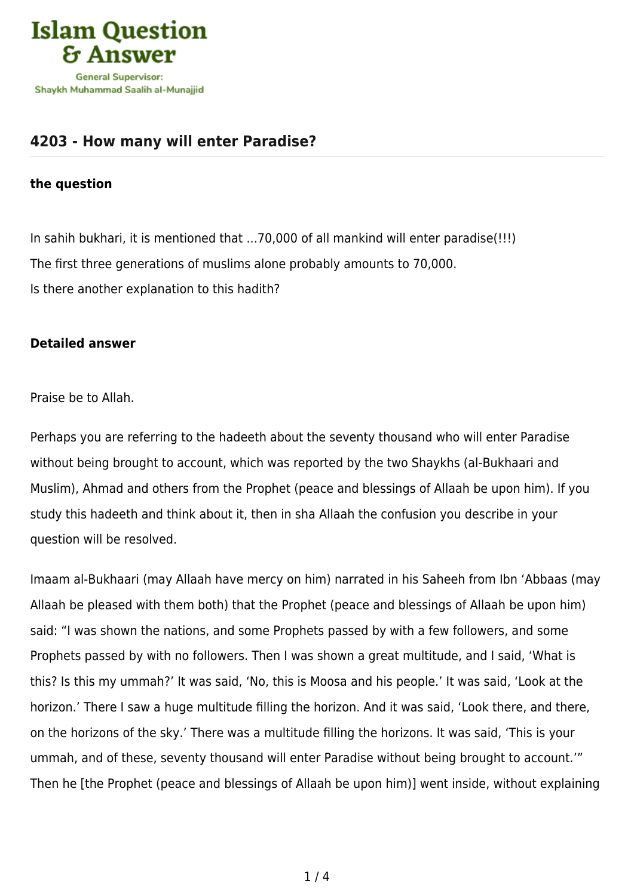

## **[4203 - How many will enter Paradise?](https://islamqa.com/en/answers/4203/how-many-will-enter-paradise)**

## **the question**

In sahih bukhari, it is mentioned that ...70,000 of all mankind will enter paradise(!!!) The first three generations of muslims alone probably amounts to 70,000. Is there another explanation to this hadith?

## **Detailed answer**

Praise be to Allah.

Perhaps you are referring to the hadeeth about the seventy thousand who will enter Paradise without being brought to account, which was reported by the two Shaykhs (al-Bukhaari and Muslim), Ahmad and others from the Prophet (peace and blessings of Allaah be upon him). If you study this hadeeth and think about it, then in sha Allaah the confusion you describe in your question will be resolved.

Imaam al-Bukhaari (may Allaah have mercy on him) narrated in his Saheeh from Ibn 'Abbaas (may Allaah be pleased with them both) that the Prophet (peace and blessings of Allaah be upon him) said: "I was shown the nations, and some Prophets passed by with a few followers, and some Prophets passed by with no followers. Then I was shown a great multitude, and I said, 'What is this? Is this my ummah?' It was said, 'No, this is Moosa and his people.' It was said, 'Look at the horizon.' There I saw a huge multitude filling the horizon. And it was said, 'Look there, and there, on the horizons of the sky.' There was a multitude filling the horizons. It was said, 'This is your ummah, and of these, seventy thousand will enter Paradise without being brought to account.'" Then he [the Prophet (peace and blessings of Allaah be upon him)] went inside, without explaining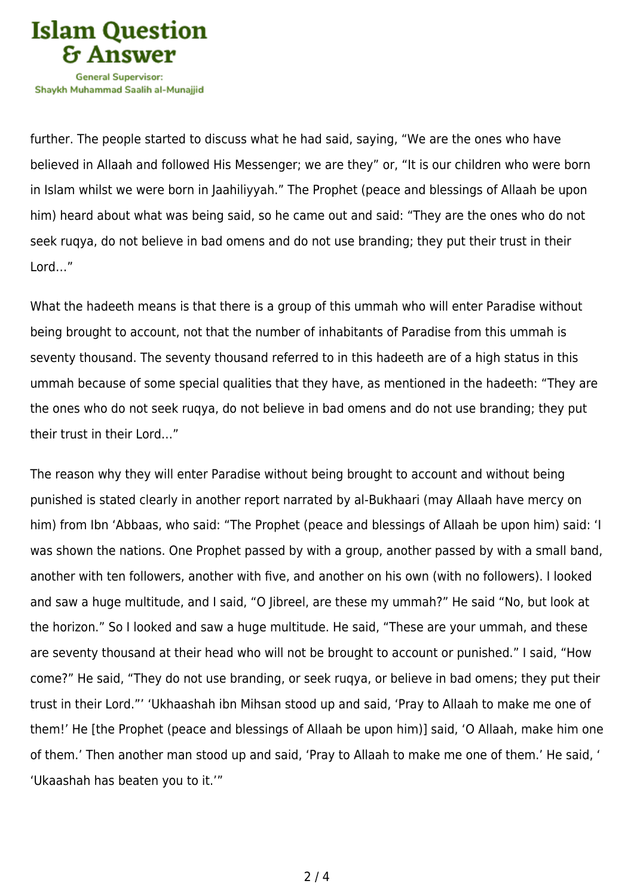

further. The people started to discuss what he had said, saying, "We are the ones who have believed in Allaah and followed His Messenger; we are they" or, "It is our children who were born in Islam whilst we were born in Jaahiliyyah." The Prophet (peace and blessings of Allaah be upon him) heard about what was being said, so he came out and said: "They are the ones who do not seek ruqya, do not believe in bad omens and do not use branding; they put their trust in their Lord…"

What the hadeeth means is that there is a group of this ummah who will enter Paradise without being brought to account, not that the number of inhabitants of Paradise from this ummah is seventy thousand. The seventy thousand referred to in this hadeeth are of a high status in this ummah because of some special qualities that they have, as mentioned in the hadeeth: "They are the ones who do not seek ruqya, do not believe in bad omens and do not use branding; they put their trust in their Lord…"

The reason why they will enter Paradise without being brought to account and without being punished is stated clearly in another report narrated by al-Bukhaari (may Allaah have mercy on him) from Ibn 'Abbaas, who said: "The Prophet (peace and blessings of Allaah be upon him) said: 'I was shown the nations. One Prophet passed by with a group, another passed by with a small band, another with ten followers, another with five, and another on his own (with no followers). I looked and saw a huge multitude, and I said, "O libreel, are these my ummah?" He said "No, but look at the horizon." So I looked and saw a huge multitude. He said, "These are your ummah, and these are seventy thousand at their head who will not be brought to account or punished." I said, "How come?" He said, "They do not use branding, or seek ruqya, or believe in bad omens; they put their trust in their Lord."' 'Ukhaashah ibn Mihsan stood up and said, 'Pray to Allaah to make me one of them!' He [the Prophet (peace and blessings of Allaah be upon him)] said, 'O Allaah, make him one of them.' Then another man stood up and said, 'Pray to Allaah to make me one of them.' He said, ' 'Ukaashah has beaten you to it.'"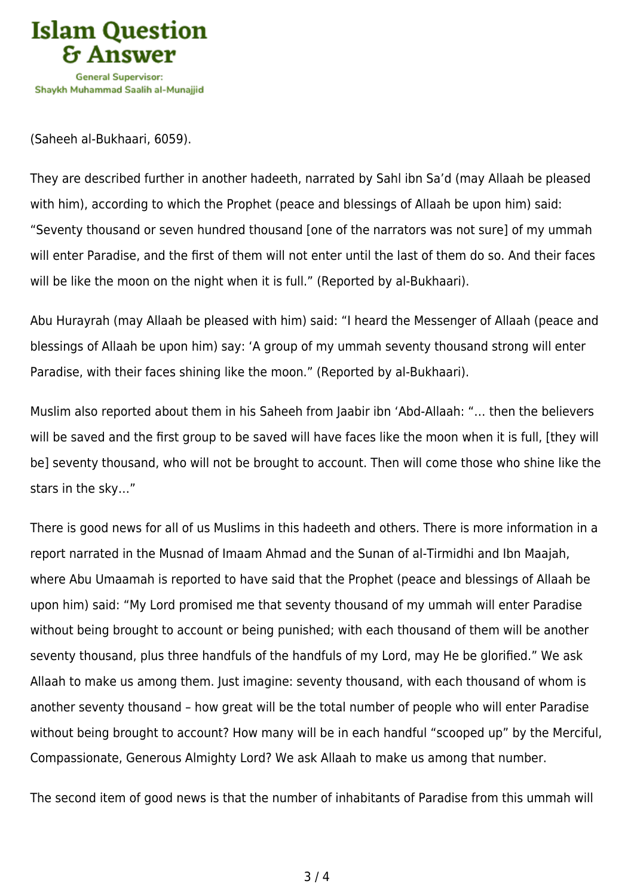

(Saheeh al-Bukhaari, 6059).

They are described further in another hadeeth, narrated by Sahl ibn Sa'd (may Allaah be pleased with him), according to which the Prophet (peace and blessings of Allaah be upon him) said: "Seventy thousand or seven hundred thousand [one of the narrators was not sure] of my ummah will enter Paradise, and the first of them will not enter until the last of them do so. And their faces will be like the moon on the night when it is full." (Reported by al-Bukhaari).

Abu Hurayrah (may Allaah be pleased with him) said: "I heard the Messenger of Allaah (peace and blessings of Allaah be upon him) say: 'A group of my ummah seventy thousand strong will enter Paradise, with their faces shining like the moon." (Reported by al-Bukhaari).

Muslim also reported about them in his Saheeh from Jaabir ibn 'Abd-Allaah: "… then the believers will be saved and the first group to be saved will have faces like the moon when it is full, [they will be] seventy thousand, who will not be brought to account. Then will come those who shine like the stars in the sky…"

There is good news for all of us Muslims in this hadeeth and others. There is more information in a report narrated in the Musnad of Imaam Ahmad and the Sunan of al-Tirmidhi and Ibn Maajah, where Abu Umaamah is reported to have said that the Prophet (peace and blessings of Allaah be upon him) said: "My Lord promised me that seventy thousand of my ummah will enter Paradise without being brought to account or being punished; with each thousand of them will be another seventy thousand, plus three handfuls of the handfuls of my Lord, may He be glorified." We ask Allaah to make us among them. Just imagine: seventy thousand, with each thousand of whom is another seventy thousand – how great will be the total number of people who will enter Paradise without being brought to account? How many will be in each handful "scooped up" by the Merciful, Compassionate, Generous Almighty Lord? We ask Allaah to make us among that number.

The second item of good news is that the number of inhabitants of Paradise from this ummah will